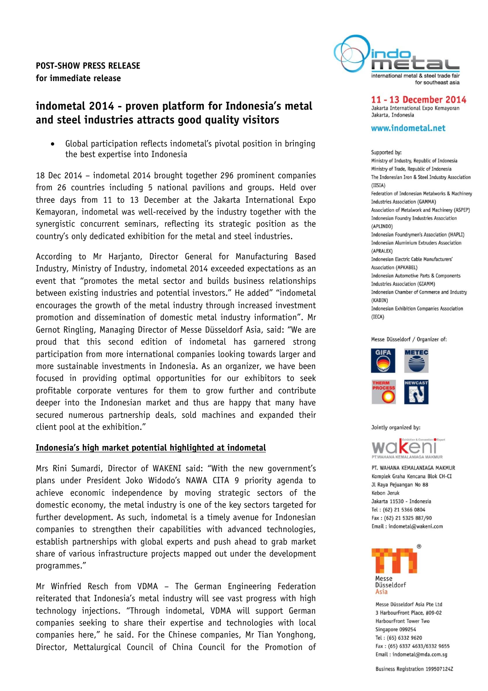**POST-SHOW PRESS RELEASE for immediate release**



11 - 13 December 2014 Jakarta International Expo Kemayoran Jakarta Indonesia

#### www.indometal.net

Supported by: Ministry of Industry, Republic of Indonesia Ministry of Trade, Republic of Indonesia The Indonesian Iron & Steel Industry Association  $(IISIA)$ Federation of Indonesian Metalworks & Machinery Industries Association (GAMMA) Association of Metalwork and Machinery (ASPEP) Indonesian Foundry Industries Association (API TNDO) Indonesian Foundrymen's Association (HAPLI) Indonesian Aluminium Extruders Association (APRALEX) Indonesian Electric Cable Manufacturers' Association (APKARFL) Indonesian Automotive Parts & Components **Industries Association (GIAMM)** Indonesian Chamber of Commerce and Industry (KADIN) Indonesian Exhibition Companies Association  $(TFCA)$ 

#### Messe Düsseldorf / Organizer of:



Jointly organized by:



PT. WAHANA KEMALANIAGA MAKMUR Komplek Graha Kencana Blok CH-CI Jl Raya Pejuangan No 88 Kebon Jeruk Jakarta 11530 - Indonesia Tel: (62) 21 5366 0804 Fax: (62) 21 5325 887/90 Email: indometal@wakeni.com



Messe Düsseldorf Asia Pte Ltd 3 HarbourFront Place, #09-02 HarbourFront Tower Two Singapore 099254 Tel: (65) 6332 9620 Fax: (65) 6337 4633/6332 9655 Email: indometal@mda.com.sq

# **indometal 2014 - proven platform for Indonesia's metal and steel industries attracts good quality visitors**

 Global participation reflects indometal's pivotal position in bringing the best expertise into Indonesia

18 Dec 2014 – indometal 2014 brought together 296 prominent companies from 26 countries including 5 national pavilions and groups. Held over three days from 11 to 13 December at the Jakarta International Expo Kemayoran, indometal was well-received by the industry together with the synergistic concurrent seminars, reflecting its strategic position as the country's only dedicated exhibition for the metal and steel industries.

According to Mr Harjanto, Director General for Manufacturing Based Industry, Ministry of Industry, indometal 2014 exceeded expectations as an event that "promotes the metal sector and builds business relationships between existing industries and potential investors." He added" "indometal encourages the growth of the metal industry through increased investment promotion and dissemination of domestic metal industry information". Mr Gernot Ringling, Managing Director of Messe Düsseldorf Asia, said: "We are proud that this second edition of indometal has garnered strong participation from more international companies looking towards larger and more sustainable investments in Indonesia. As an organizer, we have been focused in providing optimal opportunities for our exhibitors to seek profitable corporate ventures for them to grow further and contribute deeper into the Indonesian market and thus are happy that many have secured numerous partnership deals, sold machines and expanded their client pool at the exhibition."

#### **Indonesia's high market potential highlighted at indometal**

Mrs Rini Sumardi, Director of WAKENI said: "With the new government's plans under President Joko Widodo's NAWA CITA 9 priority agenda to achieve economic independence by moving strategic sectors of the domestic economy, the metal industry is one of the key sectors targeted for further development. As such, indometal is a timely avenue for Indonesian companies to strengthen their capabilities with advanced technologies, establish partnerships with global experts and push ahead to grab market share of various infrastructure projects mapped out under the development programmes."

Mr Winfried Resch from VDMA – The German Engineering Federation reiterated that Indonesia's metal industry will see vast progress with high technology injections. "Through indometal, VDMA will support German companies seeking to share their expertise and technologies with local companies here," he said. For the Chinese companies, Mr Tian Yonghong, Director, Mettalurgical Council of China Council for the Promotion of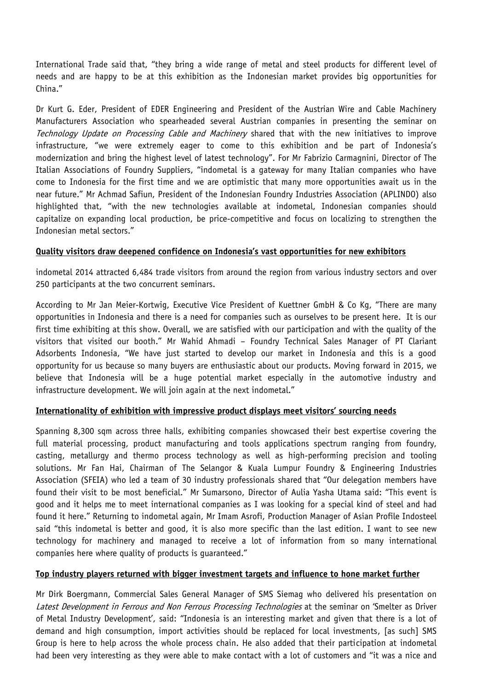International Trade said that, "they bring a wide range of metal and steel products for different level of needs and are happy to be at this exhibition as the Indonesian market provides big opportunities for China."

Dr Kurt G. Eder, President of EDER Engineering and President of the Austrian Wire and Cable Machinery Manufacturers Association who spearheaded several Austrian companies in presenting the seminar on Technology Update on Processing Cable and Machinery shared that with the new initiatives to improve infrastructure, "we were extremely eager to come to this exhibition and be part of Indonesia's modernization and bring the highest level of latest technology". For Mr Fabrizio Carmagnini, Director of The Italian Associations of Foundry Suppliers, "indometal is a gateway for many Italian companies who have come to Indonesia for the first time and we are optimistic that many more opportunities await us in the near future." Mr Achmad Safiun, President of the Indonesian Foundry Industries Association (APLINDO) also highlighted that, "with the new technologies available at indometal, Indonesian companies should capitalize on expanding local production, be price-competitive and focus on localizing to strengthen the Indonesian metal sectors."

#### **Quality visitors draw deepened confidence on Indonesia's vast opportunities for new exhibitors**

indometal 2014 attracted 6,484 trade visitors from around the region from various industry sectors and over 250 participants at the two concurrent seminars.

According to Mr Jan Meier-Kortwig, Executive Vice President of Kuettner GmbH & Co Kg, "There are many opportunities in Indonesia and there is a need for companies such as ourselves to be present here. It is our first time exhibiting at this show. Overall, we are satisfied with our participation and with the quality of the visitors that visited our booth." Mr Wahid Ahmadi – Foundry Technical Sales Manager of PT Clariant Adsorbents Indonesia, "We have just started to develop our market in Indonesia and this is a good opportunity for us because so many buyers are enthusiastic about our products. Moving forward in 2015, we believe that Indonesia will be a huge potential market especially in the automotive industry and infrastructure development. We will join again at the next indometal."

## **Internationality of exhibition with impressive product displays meet visitors' sourcing needs**

Spanning 8,300 sqm across three halls, exhibiting companies showcased their best expertise covering the full material processing, product manufacturing and tools applications spectrum ranging from foundry, casting, metallurgy and thermo process technology as well as high-performing precision and tooling solutions. Mr Fan Hai, Chairman of The Selangor & Kuala Lumpur Foundry & Engineering Industries Association (SFEIA) who led a team of 30 industry professionals shared that "Our delegation members have found their visit to be most beneficial." Mr Sumarsono, Director of Aulia Yasha Utama said: "This event is good and it helps me to meet international companies as I was looking for a special kind of steel and had found it here." Returning to indometal again, Mr Imam Asrofi, Production Manager of Asian Profile Indosteel said "this indometal is better and good, it is also more specific than the last edition. I want to see new technology for machinery and managed to receive a lot of information from so many international companies here where quality of products is guaranteed."

## **Top industry players returned with bigger investment targets and influence to hone market further**

Mr Dirk Boergmann, Commercial Sales General Manager of SMS Siemag who delivered his presentation on Latest Development in Ferrous and Non Ferrous Processing Technologies at the seminar on 'Smelter as Driver of Metal Industry Development', said: "Indonesia is an interesting market and given that there is a lot of demand and high consumption, import activities should be replaced for local investments, [as such] SMS Group is here to help across the whole process chain. He also added that their participation at indometal had been very interesting as they were able to make contact with a lot of customers and "it was a nice and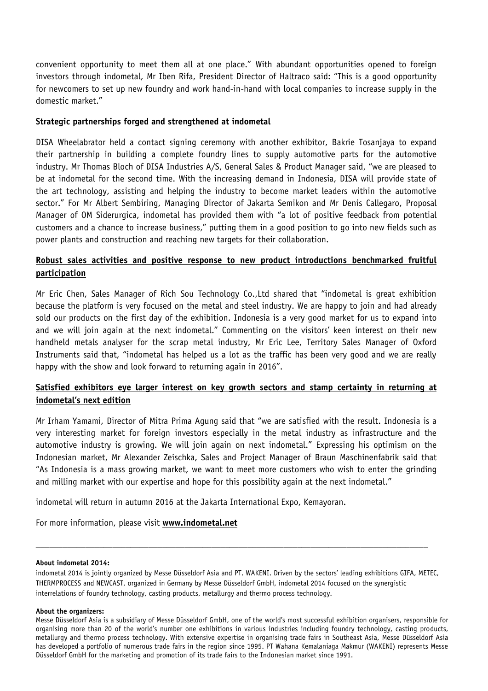convenient opportunity to meet them all at one place." With abundant opportunities opened to foreign investors through indometal, Mr Iben Rifa, President Director of Haltraco said: "This is a good opportunity for newcomers to set up new foundry and work hand-in-hand with local companies to increase supply in the domestic market."

#### **Strategic partnerships forged and strengthened at indometal**

DISA Wheelabrator held a contact signing ceremony with another exhibitor, Bakrie Tosanjaya to expand their partnership in building a complete foundry lines to supply automotive parts for the automotive industry. Mr Thomas Bloch of DISA Industries A/S, General Sales & Product Manager said, "we are pleased to be at indometal for the second time. With the increasing demand in Indonesia, DISA will provide state of the art technology, assisting and helping the industry to become market leaders within the automotive sector." For Mr Albert Sembiring, Managing Director of Jakarta Semikon and Mr Denis Callegaro, Proposal Manager of OM Siderurgica, indometal has provided them with "a lot of positive feedback from potential customers and a chance to increase business," putting them in a good position to go into new fields such as power plants and construction and reaching new targets for their collaboration.

## **Robust sales activities and positive response to new product introductions benchmarked fruitful participation**

Mr Eric Chen, Sales Manager of Rich Sou Technology Co.,Ltd shared that "indometal is great exhibition because the platform is very focused on the metal and steel industry. We are happy to join and had already sold our products on the first day of the exhibition. Indonesia is a very good market for us to expand into and we will join again at the next indometal." Commenting on the visitors' keen interest on their new handheld metals analyser for the scrap metal industry, Mr Eric Lee, Territory Sales Manager of Oxford Instruments said that, "indometal has helped us a lot as the traffic has been very good and we are really happy with the show and look forward to returning again in 2016".

## **Satisfied exhibitors eye larger interest on key growth sectors and stamp certainty in returning at indometal's next edition**

Mr Irham Yamami, Director of Mitra Prima Agung said that "we are satisfied with the result. Indonesia is a very interesting market for foreign investors especially in the metal industry as infrastructure and the automotive industry is growing. We will join again on next indometal." Expressing his optimism on the Indonesian market, Mr Alexander Zeischka, Sales and Project Manager of Braun Maschinenfabrik said that "As Indonesia is a mass growing market, we want to meet more customers who wish to enter the grinding and milling market with our expertise and hope for this possibility again at the next indometal."

indometal will return in autumn 2016 at the Jakarta International Expo, Kemayoran.

For more information, please visit **[www.indometal.net](http://www.indometal.net/)**

#### **About indometal 2014:**

indometal 2014 is jointly organized by Messe Düsseldorf Asia and PT. WAKENI. Driven by the sectors' leading exhibitions GIFA, METEC, THERMPROCESS and NEWCAST, organized in Germany by Messe Düsseldorf GmbH, indometal 2014 focused on the synergistic interrelations of foundry technology, casting products, metallurgy and thermo process technology.

\_\_\_\_\_\_\_\_\_\_\_\_\_\_\_\_\_\_\_\_\_\_\_\_\_\_\_\_\_\_\_\_\_\_\_\_\_\_\_\_\_\_\_\_\_\_\_\_\_\_\_\_\_\_\_\_\_\_\_\_\_\_\_\_\_\_\_\_\_\_\_\_\_\_\_\_\_\_\_\_\_\_\_\_\_\_\_

#### **About the organizers:**

Messe Düsseldorf Asia is a subsidiary of Messe Düsseldorf GmbH, one of the world's most successful exhibition organisers, responsible for organising more than 20 of the world's number one exhibitions in various industries including foundry technology, casting products, metallurgy and thermo process technology. With extensive expertise in organising trade fairs in Southeast Asia, Messe Düsseldorf Asia has developed a portfolio of numerous trade fairs in the region since 1995. PT Wahana Kemalaniaga Makmur (WAKENI) represents Messe Düsseldorf GmbH for the marketing and promotion of its trade fairs to the Indonesian market since 1991.